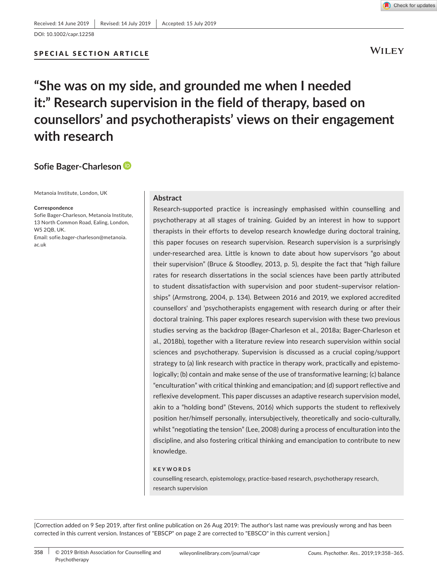## SPECIAL SECTION ARTICLE

Check for updates

**WILEY** 

# **"She was on my side, and grounded me when I needed it:" Research supervision in the field of therapy, based on counsellors' and psychotherapists' views on their engagement with research**

# **Sofie Bager‐Charleson**

Metanoia Institute, London, UK

#### **Correspondence**

Sofie Bager‐Charleson, Metanoia Institute, 13 North Common Road, Ealing, London, W5 2QB, UK. Email: [sofie.bager-charleson@metanoia.](mailto:sofie.bager-charleson@metanoia.ac.uk) [ac.uk](mailto:sofie.bager-charleson@metanoia.ac.uk)

# **Abstract**

Research‐supported practice is increasingly emphasised within counselling and psychotherapy at all stages of training. Guided by an interest in how to support therapists in their efforts to develop research knowledge during doctoral training, this paper focuses on research supervision. Research supervision is a surprisingly under-researched area. Little is known to date about how supervisors "go about their supervision" (Bruce & Stoodley, 2013, p. 5), despite the fact that "high failure rates for research dissertations in the social sciences have been partly attributed to student dissatisfaction with supervision and poor student–supervisor relationships" (Armstrong, 2004, p. 134). Between 2016 and 2019, we explored accredited counsellors' and 'psychotherapists engagement with research during or after their doctoral training. This paper explores research supervision with these two previous studies serving as the backdrop (Bager‐Charleson et al., 2018a; Bager‐Charleson et al., 2018b), together with a literature review into research supervision within social sciences and psychotherapy. Supervision is discussed as a crucial coping/support strategy to (a) link research with practice in therapy work, practically and epistemologically; (b) contain and make sense of the use of transformative learning; (c) balance "enculturation" with critical thinking and emancipation; and (d) support reflective and reflexive development. This paper discusses an adaptive research supervision model, akin to a "holding bond" (Stevens, 2016) which supports the student to reflexively position her/himself personally, intersubjectively, theoretically and socio‐culturally, whilst "negotiating the tension" (Lee, 2008) during a process of enculturation into the discipline, and also fostering critical thinking and emancipation to contribute to new knowledge.

#### **KEYWORDS**

counselling research, epistemology, practice‐based research, psychotherapy research, research supervision

[Correction added on 9 Sep 2019, after first online publication on 26 Aug 2019: The author's last name was previously wrong and has been corrected in this current version. Instances of "EBSCP" on page 2 are corrected to "EBSCO" in this current version.]

**358** | © 2019 British Association for Counselling and wileyonlinelibrary.com/journal/capr *Couns. Psychother. Res..* 2019;19:358–365. Psychotherapy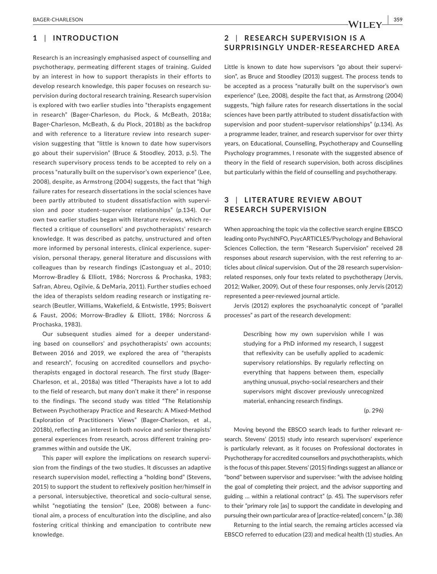## **1** | **INTRODUCTION**

Research is an increasingly emphasised aspect of counselling and psychotherapy, permeating different stages of training. Guided by an interest in how to support therapists in their efforts to develop research knowledge, this paper focuses on research supervision during doctoral research training. Research supervision is explored with two earlier studies into "therapists engagement in research" (Bager‐Charleson, du Plock, & McBeath, 2018a; Bager‐Charleson, McBeath, & du Plock, 2018b) as the backdrop and with reference to a literature review into research supervision suggesting that "little is known to date how supervisors go about their supervision" (Bruce & Stoodley, 2013, p.5). The research supervisory process tends to be accepted to rely on a process "naturally built on the supervisor's own experience" (Lee, 2008), despite, as Armstrong (2004) suggests, the fact that "high failure rates for research dissertations in the social sciences have been partly attributed to student dissatisfaction with supervision and poor student–supervisor relationships" (p.134). Our own two earlier studies began with literature reviews, which reflected a critique of counsellors' and psychotherapists' research knowledge. It was described as patchy, unstructured and often more informed by personal interests, clinical experience, supervision, personal therapy, general literature and discussions with colleagues than by research findings (Castonguay et al., 2010; Morrow‐Bradley & Elliott, 1986; Norcross & Prochaska, 1983; Safran, Abreu, Ogilvie, & DeMaria, 2011). Further studies echoed the idea of therapists seldom reading research or instigating research (Beutler, Williams, Wakefield, & Entwistle, 1995; Boisvert & Faust, 2006; Morrow‐Bradley & Elliott, 1986; Norcross & Prochaska, 1983).

Our subsequent studies aimed for a deeper understanding based on counsellors' and psychotherapists' own accounts; Between 2016 and 2019, we explored the area of "therapists and research", focusing on accredited counsellors and psychotherapists engaged in doctoral research. The first study (Bager‐ Charleson, et al., 2018a) was titled "Therapists have a lot to add to the field of research, but many don't make it there" in response to the findings. The second study was titled "The Relationship Between Psychotherapy Practice and Research: A Mixed‐Method Exploration of Practitioners Views" (Bager-Charleson, et al., 2018b), reflecting an interest in both novice and senior therapists' general experiences from research, across different training programmes within and outside the UK.

This paper will explore the implications on research supervision from the findings of the two studies. It discusses an adaptive research supervision model, reflecting a "holding bond" (Stevens, 2015) to support the student to reflexively position her/himself in a personal, intersubjective, theoretical and socio‐cultural sense, whilst "negotiating the tension" (Lee, 2008) between a functional aim, a process of enculturation into the discipline, and also fostering critical thinking and emancipation to contribute new knowledge.

**2** | **RESE ARCH SUPERVISION IS A SURPRISINGLY UNDER‐RESEARCHED AREA**

Little is known to date how supervisors "go about their supervision", as Bruce and Stoodley (2013) suggest. The process tends to be accepted as a process "naturally built on the supervisor's own experience" (Lee, 2008), despite the fact that, as Armstrong (2004) suggests, "high failure rates for research dissertations in the social sciences have been partly attributed to student dissatisfaction with supervision and poor student–supervisor relationships" (p.134). As a programme leader, trainer, and research supervisor for over thirty years, on Educational, Counselling, Psychotherapy and Counselling Psychology programmes, I resonate with the suggested absence of theory in the field of research supervision, both across disciplines but particularly within the field of counselling and psychotherapy.

# **3** | **LITER ATURE RE VIE W ABOUT RESEARCH SUPERVISION**

When approaching the topic via the collective search engine EBSCO leading onto PsychINFO, PsycARTICLES/Psychology and Behavioral Sciences Collection, the term "Research Supervision" received 28 responses about *research* supervision, with the rest referring to articles about *clinical* supervision. Out of the 28 research supervision‐ related responses, only four texts related to psychotherapy (Jervis, 2012; Walker, 2009). Out of these four responses, only Jervis (2012) represented a peer‐reviewed journal article.

Jervis (2012) explores the psychoanalytic concept of "parallel processes" as part of the research development:

> Describing how my own supervision while I was studying for a PhD informed my research, I suggest that reflexivity can be usefully applied to academic supervisory relationships. By regularly reflecting on everything that happens between them, especially anything unusual, psycho‐social researchers and their supervisors might discover previously unrecognized material, enhancing research findings.

> > (p. 296)

Moving beyond the EBSCO search leads to further relevant research. Stevens' (2015) study into research supervisors' experience is particularly relevant, as it focuses on Professional doctorates in Psychotherapy for accredited counsellors and psychotherapists, which is the focus of this paper. Stevens' (2015) findings suggest an alliance or "bond" between supervisor and supervisee: "with the advisee holding the goal of completing their project, and the advisor supporting and guiding … within a relational contract" (p. 45). The supervisors refer to their "primary role [as] to support the candidate in developing and pursuing their own particular area of [practice-related] concern." (p. 38)

Returning to the intial search, the remaing articles accessed via EBSCO referred to education (23) and medical health (1) studies. An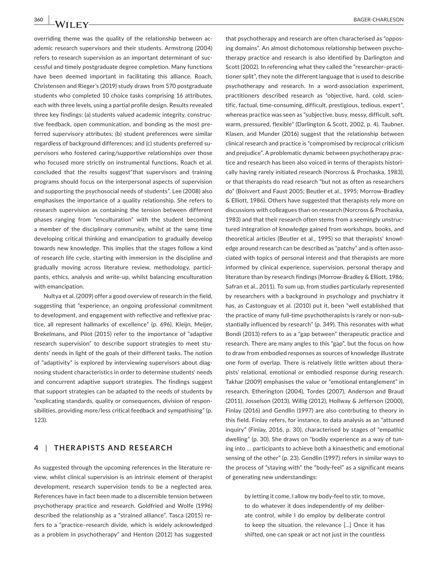overriding theme was the quality of the relationship between academic research supervisors and their students. Armstrong (2004) refers to research supervision as an important determinant of successful and timely postgraduate degree completion. Many functions have been deemed important in facilitating this alliance. Roach, Christensen and Rieger's (2019) study draws from 570 postgraduate students who completed 10 choice tasks comprising 16 attributes, each with three levels, using a partial profile design. Results revealed three key findings: (a) students valued academic integrity, constructive feedback, open communication, and bonding as the most preferred supervisory attributes; (b) student preferences were similar regardless of background differences; and (c) students preferred supervisors who fostered caring/supportive relationships over those who focused more strictly on instrumental functions. Roach et al. concluded that the results suggest"that supervisors and training programs should focus on the interpersonal aspects of supervision and supporting the psychosocial needs of students". Lee (2008) also emphasises the importance of a quality relationship. She refers to research supervision as containing the tension between different phases ranging from "enculturation" with the student becoming a member of the disciplinary community, whilst at the same time developing critical thinking and emancipation to gradually develop towards new knowledge. This implies that the stages follow a kind of research life cycle, starting with immersion in the discipline and gradually moving across literature review, methodology, participants, ethics, analysis and write‐up, whilst balancing enculturation with emancipation.

Nultya et al. (2009) offer a good overview of research in the field, suggesting that "experience, an ongoing professional commitment to development, and engagement with reflective and reflexive practice, all represent hallmarks of excellence" (p. 696). Kleijn, Meijer, Brekelmans, and Pilot (2015) refer to the importance of "adaptive research supervision" to describe support strategies to meet students' needs in light of the goals of their different tasks. The notion of "adaptivity" is explored by interviewing supervisors about diagnosing student characteristics in order to determine students' needs and concurrent adaptive support strategies. The findings suggest that support strategies can be adapted to the needs of students by "explicating standards, quality or consequences, division of responsibilities, providing more/less critical feedback and sympathising" (p. 123).

## **4** | **THERAPISTS AND RESEARCH**

As suggested through the upcoming references in the literature review, whilst clinical supervision is an intrinsic element of therapist development, research supervision tends to be a neglected area. References have in fact been made to a discernible tension between psychotherapy practice and research. Goldfried and Wolfe (1996) described the relationship as a "strained alliance". Tasca (2015) refers to a "practice–research divide, which is widely acknowledged as a problem in psychotherapy" and Henton (2012) has suggested

that psychotherapy and research are often characterised as "opposing domains". An almost dichotomous relationship between psychotherapy practice and research is also identified by Darlington and Scott (2002). In referencing what they called the "researcher–practitioner split", they note the different language that is used to describe psychotherapy and research. In a word-association experiment, practitioners described research as "objective, hard, cold, scientific, factual, time‐consuming, difficult, prestigious, tedious, expert", whereas practice was seen as "subjective, busy, messy, difficult, soft, warm, pressured, flexible" (Darlington & Scott, 2002, p. 4). Taubner, Klasen, and Munder (2016) suggest that the relationship between clinical research and practice is "compromised by reciprocal criticism and prejudice". A problematic dynamic between psychotherapy practice and research has been also voiced in terms of therapists historically having rarely initiated research (Norcross & Prochaska, 1983), or that therapists do read research "but not as often as researchers do" (Boisvert and Faust 2005; Beutler et al., 1995; Morrow‐Bradley & Elliott, 1986). Others have suggested that therapists rely more on discussions with colleagues than on research (Norcross & Prochaska, 1983) and that their research often stems from a seemingly unstructured integration of knowledge gained from workshops, books, and theoretical articles (Beutler et al., 1995) so that therapists' knowledge around research can be described as "patchy" and is often associated with topics of personal interest and that therapists are more informed by clinical experience, supervision, personal therapy and literature than by research findings (Morrow‐Bradley & Elliott, 1986; Safran et al., 2011). To sum up, from studies particularly represented by researchers with a background in psychology and psychiatry it has, as Castonguay et al. (2010) put it, been "well established that the practice of many full‐time psychotherapists is rarely or non‐substantially influenced by research" (p. 349). This resonates with what Bondi (2013) refers to as a "gap between" therapeutic practice and research. There are many angles to this "gap", but the focus on how to draw from embodied responses as sources of knowledge illustrate one form of overlap. There is relatively little written about therapists' relational, emotional or embodied response during research. Takhar (2009) emphasises the value or "emotional entanglement" in research. Etherington (2004), Tordes (2007), Anderson and Braud (2011), Josselson (2013), Willig (2012), Hollway & Jefferson (2000), Finlay (2016) and Gendlin (1997) are also contrbuting to theory in this field. Finlay refers, for instance, to data analysis as an "attuned inquiry" (Finlay, 2016, p. 30), characterised by stages of "empathic dwelling" (p. 30). She draws on "bodily experience as a way of tuning into *…* participants to achieve both a kinaesthetic and emotional sensing of the other" (p. 23). Gendlin (1997) refers in similar ways to the process of "staying with" the "body‐feel" as a significant means of generating new understandings:

> by letting it come, I allow my body‐feel to stir, to move, to do whatever it does independently of my deliberate control, while I do employ by deliberate control to keep the situation, the relevance [*…*] Once it has shifted, one can speak or act not just in the countless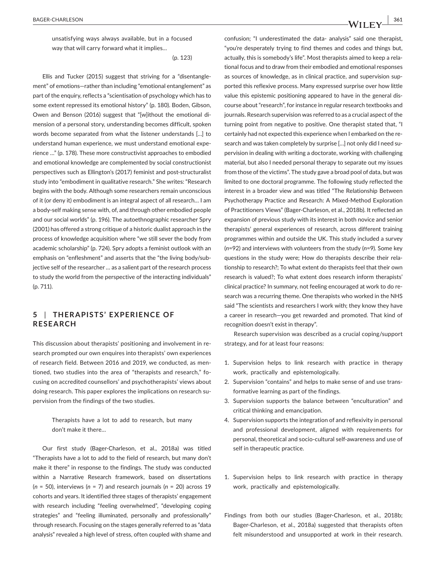unsatisfying ways always available, but in a focused way that will carry forward what it implies*…*

(p. 123)

Ellis and Tucker (2015) suggest that striving for a "disentanglement" of emotions—rather than including "emotional entanglement" as part of the enquiry, reflects a "scientisation of psychology which has to some extent repressed its emotional history" (p. 180). Boden, Gibson, Owen and Benson (2016) suggest that "[w]ithout the emotional dimension of a personal story, understanding becomes difficult, spoken words become separated from what the listener understands […] to understand human experience, we must understand emotional experience …" (p. 178). These more constructivist approaches to embodied and emotional knowledge are complemented by social constructionist perspectives such as Ellington's (2017) feminist and post‐structuralist study into "embodiment in qualitative research." She writes: "Research begins with the body. Although some researchers remain unconscious of it (or deny it) embodiment is an integral aspect of all research… I am a body‐self making sense with, of, and through other embodied people and our social worlds" (p. 196). The autoethnographic researcher Spry (2001) has offered a strong critique of a historic dualist approach in the process of knowledge acquisition where "we still sever the body from academic scholarship" (p. 724). Spry adopts a feminist outlook with an emphasis on "enfleshment" and asserts that the "the living body/subjective self of the researcher *…* as a salient part of the research process to study the world from the perspective of the interacting individuals" (p. 711).

## **5** | **THER APISTS' E XPERIENCE OF RESEARCH**

This discussion about therapists' positioning and involvement in research prompted our own enquires into therapists' own experiences of research field. Between 2016 and 2019, we conducted, as mentioned, two studies into the area of "therapists and research," focusing on accredited counsellors' and psychotherapists' views about doing research. This paper explores the implications on research supervision from the findings of the two studies.

> Therapists have a lot to add to research, but many don't make it there*…*

Our first study (Bager‐Charleson, et al., 2018a) was titled "Therapists have a lot to add to the field of research, but many don't make it there" in response to the findings. The study was conducted within a Narrative Research framework, based on dissertations (*n* = 50), interviews (*n* = 7) and research journals (*n* = 20) across 19 cohorts and years. It identified three stages of therapists' engagement with research including "feeling overwhelmed", "developing coping strategies" and "feeling illuminated, personally and professionally" through research. Focusing on the stages generally referred to as "data analysis" revealed a high level of stress, often coupled with shame and

confusion; "I underestimated the data‐ analysis" said one therapist, "you're desperately trying to find themes and codes and things but, actually, this is somebody's life". Most therapists aimed to keep a relational focus and to draw from their embodied and emotional responses as sources of knowledge, as in clinical practice, and supervision supported this reflexive process. Many expressed surprise over how little value this epistemic positioning appeared to have in the general discourse about "research", for instance in regular research textbooks and journals. Research supervision was referred to as a crucial aspect of the turning point from negative to positive. One therapist stated that, "I certainly had not expected this experience when I embarked on the research and was taken completely by surprise […] not only did I need supervision in dealing with writing a doctorate, working with challenging material, but also I needed personal therapy to separate out my issues from those of the victims". The study gave a broad pool of data, but was limited to one doctoral programme. The following study reflected the interest in a broader view and was titled "The Relationship Between Psychotherapy Practice and Research: A Mixed‐Method Exploration of Practitioners Views" (Bager‐Charleson, et al., 2018b). It reflected an expansion of previous study with its interest in both novice and senior therapists' general experiences of research, across different training programmes within and outside the UK. This study included a survey (*n*=92) and interviews with volunteers from the study (*n*=9). Some key questions in the study were; How do therapists describe their relationship to research?; To what extent do therapists feel that their own research is valued?; To what extent does research inform therapists' clinical practice? In summary, not feeling encouraged at work to do research was a recurring theme. One therapists who worked in the NHS said "The scientists and researchers I work with; they know they have a career in research—you get rewarded and promoted. That kind of recognition doesn't exist in therapy".

Research supervision was described as a crucial coping/support strategy, and for at least four reasons:

- 1. Supervision helps to link research with practice in therapy work, practically and epistemologically.
- 2. Supervision "contains" and helps to make sense of and use transformative learning as part of the findings.
- 3. Supervision supports the balance between "enculturation" and critical thinking and emancipation.
- 4. Supervision supports the integration of and reflexivity in personal and professional development, aligned with requirements for personal, theoretical and socio‐cultural self‐awareness and use of self in therapeutic practice.
- 1. Supervision helps to link research with practice in therapy work, practically and epistemologically.
- Findings from both our studies (Bager-Charleson, et al., 2018b; Bager‐Charleson, et al., 2018a) suggested that therapists often felt misunderstood and unsupported at work in their research.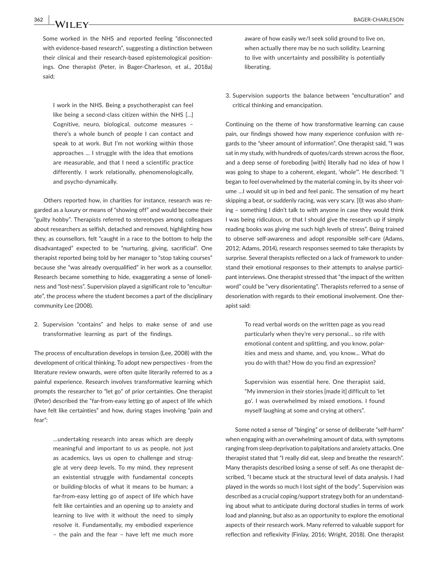I work in the NHS. Being a psychotherapist can feel like being a second-class citizen within the NHS [...] Cognitive, neuro, biological, outcome measures – there's a whole bunch of people I can contact and speak to at work. But I'm not working within those approaches … I struggle with the idea that emotions are measurable, and that I need a scientific practice differently. I work relationally, phenomenologically, and psycho‐dynamically.

Others reported how, in charities for instance, research was regarded as a luxury or means of "showing off" and would become their "guilty hobby". Therapists referred to stereotypes among colleagues about researchers as selfish, detached and removed, highlighting how they, as counsellors, felt "caught in a race to the bottom to help the disadvantaged" expected to be "nurturing, giving, sacrificial". One therapist reported being told by her manager to "stop taking courses" because she "was already overqualified" in her work as a counsellor. Research became something to hide, exaggerating a sense of loneliness and "lost-ness". Supervision played a significant role to "enculturate", the process where the student becomes a part of the disciplinary community Lee (2008).

2. Supervision "contains" and helps to make sense of and use transformative learning as part of the findings.

The process of enculturation develops in tension (Lee, 2008) with the development of critical thinking. To adopt new perspectives ‐ from the literature review onwards, were often quite literarily referred to as a painful experience. Research involves transformative learning which prompts the researcher to "let go" of prior certainties. One therapist (Peter) described the "far‐from‐easy letting go of aspect of life which have felt like certainties" and how, during stages involving "pain and fear":

> …undertaking research into areas which are deeply meaningful and important to us as people, not just as academics, lays us open to challenge and struggle at very deep levels. To my mind, they represent an existential struggle with fundamental concepts or building‐blocks of what it means to be human; a far‐from‐easy letting go of aspect of life which have felt like certainties and an opening up to anxiety and learning to live with it without the need to simply resolve it. Fundamentally, my embodied experience – the pain and the fear – have left me much more

aware of how easily we/I seek solid ground to live on, when actually there may be no such solidity. Learning to live with uncertainty and possibility is potentially liberating.

3. Supervision supports the balance between "enculturation" and critical thinking and emancipation.

Continuing on the theme of how transformative learning can cause pain, our findings showed how many experience confusion with regards to the "sheer amount of information". One therapist said, "I was sat in my study, with hundreds of quotes/cards strewn across the floor, and a deep sense of foreboding [with] literally had no idea of how I was going to shape to a coherent, elegant, 'whole'". He described: "I began to feel overwhelmed by the material coming in, by its sheer volume …I would sit up in bed and feel panic. The sensation of my heart skipping a beat, or suddenly racing, was very scary. [I]t was also shaming – something I didn't talk to with anyone in case they would think I was being ridiculous, or that I should give the research up if simply reading books was giving me such high levels of stress". Being trained to observe self‐awareness and adopt responsible self‐care (Adams, 2012; Adams, 2014), research responses seemed to take therapists by surprise. Several therapists reflected on a lack of framework to understand their emotional responses to their attempts to analyse participant interviews. One therapist stressed that "the impact of the written word" could be "very disorientating". Therapists referred to a sense of desorienation with regards to their emotional involvement. One therapist said:

> To read verbal words on the written page as you read particularly when they're very personal… so rife with emotional content and splitting, and you know, polarities and mess and shame, and, you know… What do you do with that? How do you find an expression?

> Supervision was essential here. One therapist said, "My immersion in their stories [made it] difficult to 'let go'. I was overwhelmed by mixed emotions. I found myself laughing at some and crying at others".

Some noted a sense of "binging" or sense of deliberate "self‐harm" when engaging with an overwhelming amount of data, with symptoms ranging from sleep deprivation to palpitations and anxiety attacks. One therapist stated that "I really did eat, sleep and breathe the research". Many therapists described losing a sense of self. As one therapist described, "I became stuck at the structural level of data analysis. I had played in the words so much I lost sight of the body". Supervision was described as a crucial coping/support strategy both for an understanding about what to anticipate during doctoral studies in terms of work load and planning, but also as an opportunity to explore the emotional aspects of their research work. Many referred to valuable support for reflection and reflexivity (Finlay, 2016; Wright, 2018). One therapist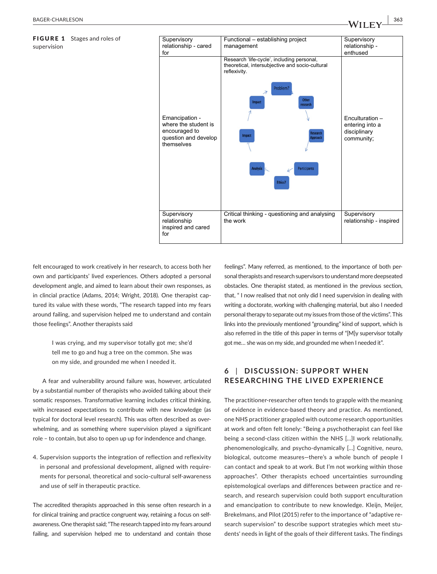#### FIGURE 1 Stages and roles of supervision

| Supervisory                                                                                   | Functional - establishing project                                                                                                                                                                                                                                                  | Supervisory                                                      |
|-----------------------------------------------------------------------------------------------|------------------------------------------------------------------------------------------------------------------------------------------------------------------------------------------------------------------------------------------------------------------------------------|------------------------------------------------------------------|
| relationship - cared                                                                          | management                                                                                                                                                                                                                                                                         | relationship -                                                   |
| for                                                                                           |                                                                                                                                                                                                                                                                                    | enthused                                                         |
| Emancipation -<br>where the student is<br>encouraged to<br>question and develop<br>themselves | Research 'life-cycle', including personal,<br>theoretical, intersubjective and socio-cultural<br>reflexivity.<br>Problem?<br>$\overline{\mathcal{A}}$<br><b>Other</b><br>Impact<br>research<br>Research<br><b>Impact</b><br>Approach<br><b>Analysis</b><br>Participants<br>Ethics? | Enculturation -<br>entering into a<br>disciplinary<br>community; |
| Supervisory<br>relationship<br>inspired and cared<br>for                                      | Critical thinking - questioning and analysing<br>the work                                                                                                                                                                                                                          | Supervisory<br>relationship - inspired                           |

felt encouraged to work creatively in her research, to access both her own and participants' lived experiences. Others adopted a personal development angle, and aimed to learn about their own responses, as in clincial practice (Adams, 2014; Wright, 2018). One therapist captured its value with these words, "The research tapped into my fears around failing, and supervision helped me to understand and contain those feelings". Another therapists said

> I was crying, and my supervisor totally got me; she'd tell me to go and hug a tree on the common. She was on my side, and grounded me when I needed it.

A fear and vulnerability around failure was, however, articulated by a substantial number of therapists who avoided talking about their somatic responses. Transformative learning includes critical thinking, with increased expectations to contribute with new knowledge (as typical for doctoral level research). This was often described as overwhelming, and as something where supervision played a significant role – to contain, but also to open up up for indendence and change.

4. Supervision supports the integration of reflection and reflexivity in personal and professional development, aligned with requirements for personal, theoretical and socio‐cultural self‐awareness and use of self in therapeutic practice.

The accredited therapists approached in this sense often research in a for clinical training and practice congruent way, retaining a focus on selfawareness. One therapist said; "The research tapped into my fears around failing, and supervision helped me to understand and contain those feelings". Many referred, as mentioned, to the importance of both personal therapists and research supervisors to understand more deepseated obstacles. One therapist stated, as mentioned in the previous section, that, " I now realised that not only did I need supervision in dealing with writing a doctorate, working with challenging material, but also I needed personal therapy to separate out my issues from those of the victims". This links into the previously mentioned "grounding" kind of support, which is also referred in the title of this paper in terms of "[M]y supervisor totally got me*…* she was on my side, and grounded me when I needed it".

# **6** | **DISCUSSION: SUPPORT WHEN RESEARCHING THE LIVED EXPERIENCE**

The practitioner-researcher often tends to grapple with the meaning of evidence in evidence‐based theory and practice. As mentioned, one NHS practitioner grappled with outcome research opportunities at work and often felt lonely: "Being a psychotherapist can feel like being a second-class citizen within the NHS [...]I work relationally, phenomenologically, and psycho-dynamically [...] Cognitive, neuro, biological, outcome measures—there's a whole bunch of people I can contact and speak to at work. But I'm not working within those approaches". Other therapists echoed uncertainties surrounding epistemological overlaps and differences between practice and research, and research supervision could both support enculturation and emancipation to contribute to new knowledge. Kleijn, Meijer, Brekelmans, and Pilot (2015) refer to the importance of "adaptive research supervision" to describe support strategies which meet students' needs in light of the goals of their different tasks. The findings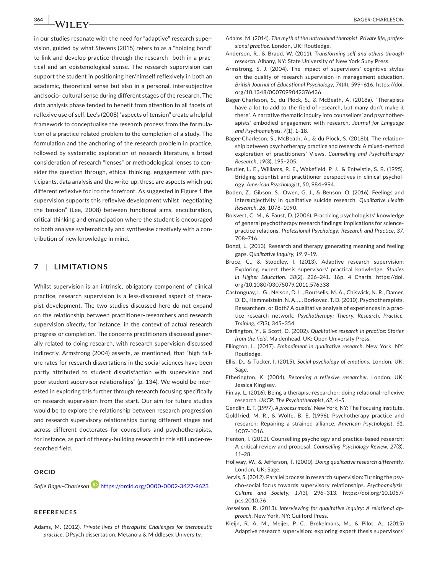in our studies resonate with the need for "adaptive" research supervision, guided by what Stevens (2015) refers to as a "holding bond" to link and develop practice through the research—both in a practical and an epistemological sense. The research supervision can support the student in positioning her/himself reflexively in both an academic, theoretical sense but also in a personal, intersubjective and socio‐ cultural sense during different stages of the research. The data analysis phase tended to benefit from attention to all facets of reflexive use of self. Lee's (2008) "aspects of tension" create a helpful framework to conceptualise the research process from the formulation of a practice‐related problem to the completion of a study. The formulation and the anchoring of the research problem in practice, followed by systematic exploration of research literature, a broad consideration of research "lenses" or methodological lenses to consider the question through, ethical thinking, engagement with participants, data analysis and the write‐up; these are aspects which put different reflexive foci to the forefront. As suggested in Figure 1 the supervision supports this reflexive development whilst "negotiating the tension" (Lee, 2008) between functional aims, enculturation, critical thinking and emancipation where the student is encouraged to both analyse systematically and synthesise creatively with a contribution of new knowledge in mind.

## **7** | **LIMITATIONS**

Whilst supervision is an intrinsic, obligatory component of clinical practice, research supervision is a less-discussed aspect of therapist development. The two studies discussed here do not expand on the relationship between practitioner–researchers and research supervision *directly*, for instance, in the context of actual research progress or completion. The concerns practitioners discussed generally related to doing research, with research supervision discussed indirectly. Armstrong (2004) asserts, as mentioned, that "high failure rates for research dissertations in the social sciences have been partly attributed to student dissatisfaction with supervision and poor student-supervisor relationships" (p. 134). We would be interested in exploring this further through research focusing specifically on research supervision from the start. Our aim for future studies would be to explore the relationship between research progression and research supervisory relationships during different stages and across different doctorates for counsellors and psychotherapists, for instance, as part of theory‐building research in this still under‐researched field.

## **ORCID**

*Sofie Bager‐Charleson* <https://orcid.org/0000-0002-3427-9623>

#### **REFERENCES**

Adams, M. (2012). *Private lives of therapists: Challenges for therapeutic practice*. DPsych dissertation, Metanoia & Middlesex University.

- Adams, M. (2014). *The myth of the untroubled therapist. Private life, profes‐ sional practice*. London, UK: Routledge.
- Anderson, R., & Braud, W. (2011). *Transforming self and others through research*. Albany, NY: State University of New York Suny Press.
- Armstrong, S. J. (2004). The impact of supervisors' cognitive styles on the quality of research supervision in management education. *British Journal of Educational Psychology*, *74*(4), 599–616. [https://doi.](https://doi.org/10.1348/0007099042376436) [org/10.1348/0007099042376436](https://doi.org/10.1348/0007099042376436)
- Bager‐Charleson, S., du Plock, S., & McBeath, A. (2018a). "Therapists have a lot to add to the field of research, but many don't make it there". A narrative thematic inquiry into counsellors' and psychotherapists' embodied engagement with research. *Journal for Language and Psychoanalysis*, *7*(1), 1–18.
- Bager‐Charleson, S., McBeath, A., & du Plock, S. (2018b). The relationship between psychotherapy practice and research: A mixed‐method exploration of practitioners' Views. *Counselling and Psychotherapy Research*, *19*(3), 195–205.
- Beutler, L. E., Williams, R. E., Wakefield, P. J., & Entwistle, S. R. (1995). Bridging scientist and practitioner perspectives in clinical psychology. *American Psychologist*, *50*, 984–994.
- Boden, Z., Gibson, S., Owen, G. J., & Benson, O. (2016). Feelings and intersubjectivity in qualitative suicide research. *Qualitative Health Research*, *26*, 1078–1090.
- Boisvert, C. M., & Faust, D. (2006). Practicing psychologists' knowledge of general psychotherapy research findings: Implications for science‐ practice relations. *Professional Psychology: Research and Practice*, *37*, 708–716.
- Bondi, L. (2013). Research and therapy generating meaning and feeling gaps. *Qualitative Inquiry*, *19*, 9–19.
- Bruce, C., & Stoodley, I. (2013). Adaptive research supervision: Exploring expert thesis supervisors' practical knowledge. *Studies in Higher Education*. *38*(2), 226–241. 16p. 4 Charts. [https://doi.](https://doi.org/10.1080/03075079.2011.576338) [org/10.1080/03075079.2011.576338](https://doi.org/10.1080/03075079.2011.576338)
- Castonguay, L. G., Nelson, D. L., Boutselis, M. A., Chiswick, N. R., Damer, D. D., Hemmelstein, N. A., … Borkovec, T. D. (2010). Psychotherapists, Researchers, or Both? A qualitative analysis of experiences in a practice research network. *Psychotherapy: Theory, Research, Practice, Training*, *47*(3), 345–354.
- Darlington, Y., & Scott, D. (2002). *Qualitative research in practice: Stories from the field*. Maidenhead, UK: Open University Press.
- Ellington, L. (2017). *Embodiment in qualitative research*. New York, NY: Routledge.
- Ellis, D., & Tucker, I. (2015). *Social psychology of emotions*. London, UK: Sage.
- Etherington, K. (2004). *Becoming a reflexive researcher*. London, UK: Jessica Kinglsey.
- Finlay, L. (2016). Being a therapist‐researcher: doing relational‐reflexive research. *UKCP: The Psychotherapist*, *62*, 4–5.
- Gendlin, E. T. (1997). *A process model*. New York, NY: The Focusing Institute.
- Goldfried, M. R., & Wolfe, B. E. (1996). Psychotherapy practice and research: Repairing a strained alliance. *American Psychologist*, *51*, 1007–1016.
- Henton, I. (2012). Counselling psychology and practice‐based research: A critical review and proposal. *Counselling Psychology Review*, *27*(3), 11–28.
- Hollway, W., & Jefferson, T. (2000). *Doing qualitative research differently*. London, UK: Sage.
- Jervis, S. (2012). Parallel process in research supervision: Turning the psycho‐social focus towards supervisory relationships. *Psychoanalysis, Culture and Society*, *17*(3), 296–313. [https://doi.org/10.1057/](https://doi.org/10.1057/pcs.2010.36) [pcs.2010.36](https://doi.org/10.1057/pcs.2010.36)
- Josselson, R. (2013). *Interviewing for qualitative inquiry: A relational ap‐ proach*. New York, NY: Guilford Press.
- Kleijn, R. A. M., Meijer, P. C., Brekelmans, M., & Pilot, A.. (2015) Adaptive research supervision: exploring expert thesis supervisors'